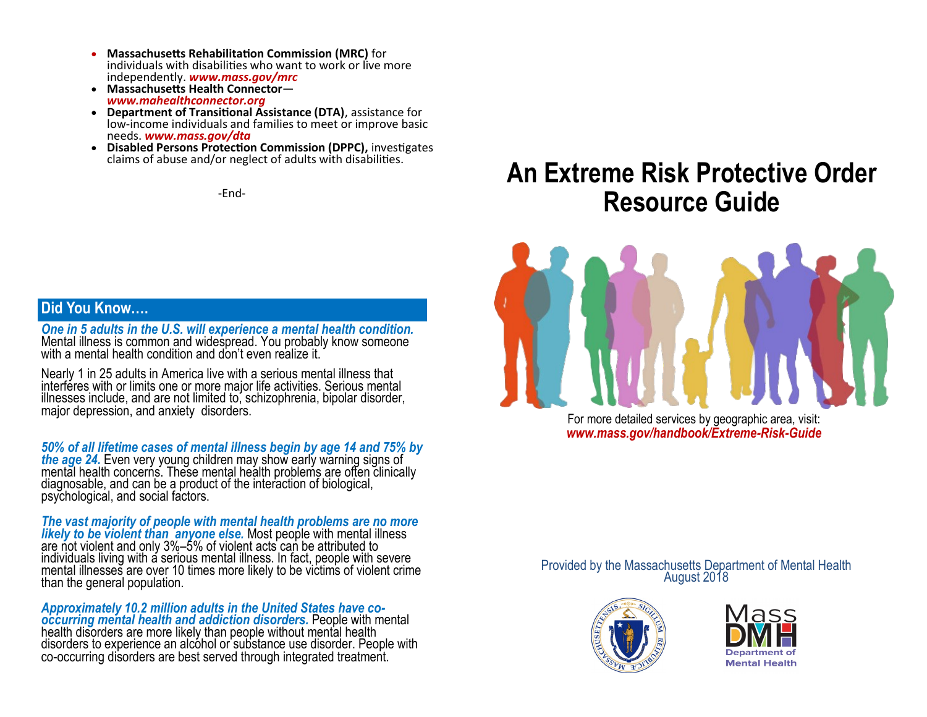- **Massachusetts Rehabilitation Commission (MRC)** for individuals with disabilities who want to work or live more independently. *www.mass.gov/mrc*
- **Massachusetts Health Connector** *www.mahealthconnector.org*
- **Department of Transitional Assistance (DTA)**, assistance for low-income individuals and families to meet or improve basic needs. *www.mass.gov/dta*
- **Disabled Persons Protection Commission (DPPC),** investigates claims of abuse and/or neglect of adults with disabilities.

-End-

## **Did You Know….**

*One in 5 adults in the U.S. will experience a mental health condition.*  Mental illness is common and widespread. You probably know someone with a mental health condition and don't even realize it.

Nearly 1 in 25 adults in America live with a serious mental illness that interferes with or limits one or more major life activities. Serious mental illnesses include, and are not limited to, schizophrenia, bipolar disorder, major depression, and anxiety disorders.

*50% of all lifetime cases of mental illness begin by age 14 and 75% by* 

*the age 24.* Even very young children may show early warning signs of mental health concerns. These mental health problems are often clinically diagnosable, and can be a product of the interaction of biological, psychological, and social factors.

*The vast majority of people with mental health problems are no more likely to be violent than anyone else.* Most people with mental illness are not violent and only 3%–5% of violent acts can be attributed to individuals living with a serious mental illness. In fact, people with severe mental illnesses are over 10 times more likely to be victims of violent crime than the general population.

*Approximately 10.2 million adults in the United States have cooccurring mental health and addiction disorders.* People with mental health disorders are more likely than people without mental health disorders to experience an alcohol or substance use disorder. People with co-occurring disorders are best served through integrated treatment.

# **An Extreme Risk Protective Order Resource Guide**



For more detailed services by geographic area, visit: *www.mass.gov/handbook/Extreme-Risk-Guide*

Provided by the Massachusetts Department of Mental Health August 2018